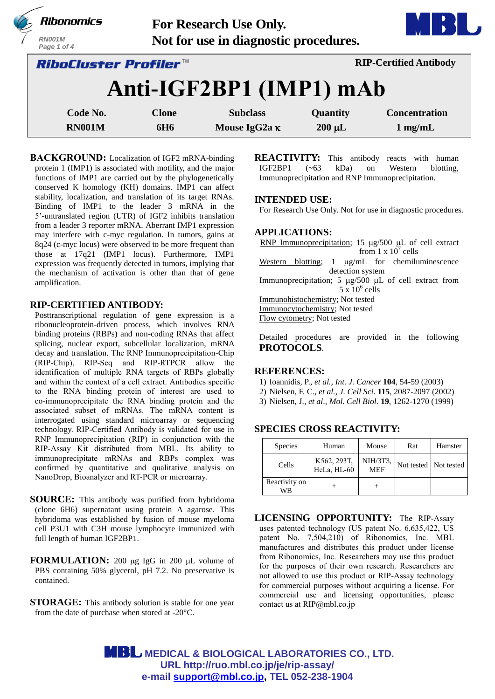

**BACKGROUND:** Localization of IGF2 mRNA-binding protein 1 (IMP1) is associated with motility, and the major functions of IMP1 are carried out by the phylogenetically conserved K homology (KH) domains. IMP1 can affect stability, localization, and translation of its target RNAs. Binding of IMP1 to the leader 3 mRNA in the 5'-untranslated region (UTR) of IGF2 inhibits translation from a leader 3 reporter mRNA. Aberrant IMP1 expression may interfere with c-myc regulation. In tumors, gains at 8q24 (c-myc locus) were observed to be more frequent than those at 17q21 (IMP1 locus). Furthermore, IMP1 expression was frequently detected in tumors, implying that the mechanism of activation is other than that of gene amplification.

## **RIP-CERTIFIED ANTIBODY:**

Posttranscriptional regulation of gene expression is a ribonucleoprotein-driven process, which involves RNA binding proteins (RBPs) and non-coding RNAs that affect splicing, nuclear export, subcellular localization, mRNA decay and translation. The RNP Immunoprecipitation-Chip (RIP-Chip), RIP-Seq and RIP-RTPCR allow the identification of multiple RNA targets of RBPs globally and within the context of a cell extract. Antibodies specific to the RNA binding protein of interest are used to co-immunoprecipitate the RNA binding protein and the associated subset of mRNAs. The mRNA content is interrogated using standard microarray or sequencing technology. RIP-Certified Antibody is validated for use in RNP Immunoprecipitation (RIP) in conjunction with the RIP-Assay Kit distributed from MBL. Its ability to immunoprecipitate mRNAs and RBPs complex was confirmed by quantitative and qualitative analysis on NanoDrop, Bioanalyzer and RT-PCR or microarray.

- **SOURCE:** This antibody was purified from hybridoma (clone 6H6) supernatant using protein A agarose. This hybridoma was established by fusion of mouse myeloma cell P3U1 with C3H mouse lymphocyte immunized with full length of human IGF2BP1.
- **FORMULATION:** 200 µg IgG in 200 µL volume of PBS containing 50% glycerol, pH 7.2. No preservative is contained.
- **STORAGE:** This antibody solution is stable for one year from the date of purchase when stored at -20°C.

**REACTIVITY:** This antibody reacts with human IGF2BP1 (~63 kDa) on Western blotting, Immunoprecipitation and RNP Immunoprecipitation.

#### **INTENDED USE:**

For Research Use Only. Not for use in diagnostic procedures.

#### **APPLICATIONS:**

RNP Immunoprecipitation; 15  $\mu$ g/500  $\mu$ L of cell extract from  $1 \times 10^7$  cells Western blotting;  $1 \mu g/mL$  for chemiluminescence detection system Immunoprecipitation; 5  $\mu$ g/500  $\mu$ L of cell extract from  $5 \times 10^6$  cells Immunohistochemistry; Not tested Immunocytochemistry; Not tested Flow cytometry; Not tested

Detailed procedures are provided in the following **PROTOCOLS**.

### **REFERENCES:**

- 1) Ioannidis, P., *et al., Int. J. Cancer* **104**, 54-59 (2003)
- 2) Nielsen, F. C., *et al., J. Cell Sci*. **115**, 2087-2097 (2002)
- 3) Nielsen, J., *et al*., *Mol. Cell Biol*. **19**, 1262-1270 (1999)

## **SPECIES CROSS REACTIVITY:**

| Species             | Human                      | Mouse                  | Rat                   | Hamster |
|---------------------|----------------------------|------------------------|-----------------------|---------|
| Cells               | K562, 293T,<br>HeLa, HL-60 | NIH/3T3,<br><b>MEF</b> | Not tested Not tested |         |
| Reactivity on<br>WΒ |                            |                        |                       |         |

**LICENSING OPPORTUNITY:** The RIP-Assay uses patented technology (US patent No. 6,635,422, US patent No. 7,504,210) of Ribonomics, Inc. MBL manufactures and distributes this product under license from Ribonomics, Inc. Researchers may use this product for the purposes of their own research. Researchers are not allowed to use this product or RIP-Assay technology for commercial purposes without acquiring a license. For commercial use and licensing opportunities, please contact us at RIP@mbl.co.jp

 **MEDICAL & BIOLOGICAL LABORATORIES CO., LTD. URL [http://ruo.mbl.co.jp/je/rip-assay/](https://ruo.mbl.co.jp/) e-mail [support@mbl.co.jp,](mailto:support@mbl.co.jp) TEL 052-238-1904**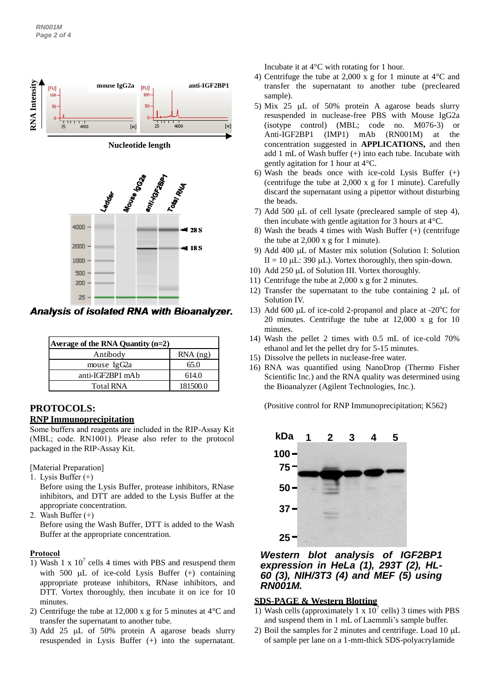

**Analysis of isolated RNA with Bioanalyzer.** 

| Average of the RNA Quantity $(n=2)$ |            |  |
|-------------------------------------|------------|--|
| Antibody                            | $RNA$ (ng) |  |
| mouse IgG2a                         | 65.0       |  |
| anti-IGF2BP1 mAb                    | 614.0      |  |
| <b>Total RNA</b>                    | 181500.0   |  |

# **PROTOCOLS:**

# **RNP Immunoprecipitation**

Some buffers and reagents are included in the RIP-Assay Kit (MBL; code. RN1001). Please also refer to the protocol packaged in the RIP-Assay Kit.

[Material Preparation]

1. Lysis Buffer (+)

Before using the Lysis Buffer, protease inhibitors, RNase inhibitors, and DTT are added to the Lysis Buffer at the appropriate concentration.

2. Wash Buffer (+)

Before using the Wash Buffer, DTT is added to the Wash Buffer at the appropriate concentration.

## **Protocol**

- 1) Wash 1 x  $10^7$  cells 4 times with PBS and resuspend them with 500  $\mu$ L of ice-cold Lysis Buffer (+) containing appropriate protease inhibitors, RNase inhibitors, and DTT. Vortex thoroughly, then incubate it on ice for 10 minutes.
- 2) Centrifuge the tube at 12,000 x g for 5 minutes at 4°C and transfer the supernatant to another tube.
- 3) Add 25  $\mu$ L of 50% protein A agarose beads slurry resuspended in Lysis Buffer (+) into the supernatant.

Incubate it at 4°C with rotating for 1 hour.

- 4) Centrifuge the tube at 2,000 x g for 1 minute at 4°C and transfer the supernatant to another tube (precleared sample).
- 5) Mix 25  $\mu$ L of 50% protein A agarose beads slurry resuspended in nuclease-free PBS with Mouse IgG2a (isotype control) (MBL; code no. M076-3) or Anti-IGF2BP1 (IMP1) mAb (RN001M) at the concentration suggested in **APPLICATIONS,** and then add 1 mL of Wash buffer (+) into each tube. Incubate with gently agitation for 1 hour at 4°C.
- 6) Wash the beads once with ice-cold Lysis Buffer (+) (centrifuge the tube at 2,000 x g for 1 minute). Carefully discard the supernatant using a pipettor without disturbing the beads.
- 7) Add 500  $\mu$ L of cell lysate (precleared sample of step 4), then incubate with gentle agitation for 3 hours at 4°C.
- 8) Wash the beads 4 times with Wash Buffer (+) (centrifuge the tube at 2,000 x g for 1 minute).
- 9) Add 400 µL of Master mix solution (Solution I: Solution II = 10  $\mu$ L: 390  $\mu$ L). Vortex thoroughly, then spin-down.
- 10) Add 250  $\mu$ L of Solution III. Vortex thoroughly.
- 11) Centrifuge the tube at 2,000 x g for 2 minutes.
- 12) Transfer the supernatant to the tube containing 2  $\mu$ L of Solution IV.
- 13) Add 600  $\mu$ L of ice-cold 2-propanol and place at -20 $\mathrm{^{\circ}C}$  for 20 minutes. Centrifuge the tube at 12,000 x g for 10 minutes.
- 14) Wash the pellet 2 times with 0.5 mL of ice-cold 70% ethanol and let the pellet dry for 5-15 minutes.
- 15) Dissolve the pellets in nuclease-free water.
- 16) RNA was quantified using NanoDrop (Thermo Fisher Scientific Inc.) and the RNA quality was determined using the Bioanalyzer (Agilent Technologies, Inc.).

(Positive control for RNP Immunoprecipitation; K562)



## *Western blot analysis of IGF2BP1 expression in HeLa (1), 293T (2), HL-60 (3), NIH/3T3 (4) and MEF (5) using RN001M.*

# **SDS-PAGE & Western Blotting**

- 1) Wash cells (approximately 1 x  $10^7$  cells) 3 times with PBS and suspend them in 1 mL of Laemmli's sample buffer.
- 2) Boil the samples for 2 minutes and centrifuge. Load 10  $\mu$ L of sample per lane on a 1-mm-thick SDS-polyacrylamide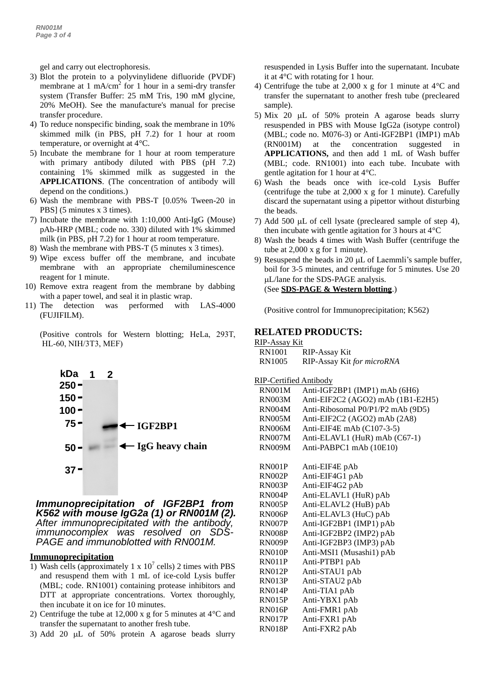*e* gel and carry out electrophoresis.

- *3* membrane at 1 mA/cm<sup>2</sup> for 1 hour in a semi-dry transfer *f* system (Transfer Buffer: 25 mM Tris, 190 mM glycine, 3) Blot the protein to a polyvinylidene difluoride (PVDF) 20% MeOH). See the manufacture's manual for precise transfer procedure.
- 4) To reduce nonspecific binding, soak the membrane in 10% skimmed milk (in PBS, pH 7.2) for 1 hour at room temperature, or overnight at 4°C.
- 5) Incubate the membrane for 1 hour at room temperature with primary antibody diluted with PBS (pH 7.2) containing 1% skimmed milk as suggested in the **APPLICATIONS**. (The concentration of antibody will depend on the conditions.)
- 6) Wash the membrane with PBS-T [0.05% Tween-20 in PBS] (5 minutes x 3 times).
- 7) Incubate the membrane with 1:10,000 Anti-IgG (Mouse) pAb-HRP (MBL; code no. 330) diluted with 1% skimmed milk (in PBS, pH 7.2) for 1 hour at room temperature.
- 8) Wash the membrane with PBS-T (5 minutes x 3 times).
- 9) Wipe excess buffer off the membrane, and incubate membrane with an appropriate chemiluminescence reagent for 1 minute.
- 10) Remove extra reagent from the membrane by dabbing with a paper towel, and seal it in plastic wrap.
- 11) The detection was performed with LAS-4000 (FUJIFILM).

(Positive controls for Western blotting; HeLa, 293T, HL-60, NIH/3T3, MEF)



#### *Immunoprecipitation of IGF2BP1 from K562 with mouse IgG2a (1) or RN001M (2). After immunoprecipitated with the antibody, immunocomplex was resolved on SDS-PAGE and immunoblotted with RN001M.*

#### **Immunoprecipitation**

- 1) Wash cells (approximately 1 x  $10^7$  cells) 2 times with PBS and resuspend them with 1 mL of ice-cold Lysis buffer (MBL; code. RN1001) containing protease inhibitors and DTT at appropriate concentrations. Vortex thoroughly, then incubate it on ice for 10 minutes.
- 2) Centrifuge the tube at 12,000 x g for 5 minutes at 4°C and transfer the supernatant to another fresh tube.
- 3) Add 20  $\mu$ L of 50% protein A agarose beads slurry

resuspended in Lysis Buffer into the supernatant. Incubate it at 4°C with rotating for 1 hour.

- 4) Centrifuge the tube at 2,000 x g for 1 minute at 4°C and transfer the supernatant to another fresh tube (precleared sample).
- 5) Mix 20  $\mu$ L of 50% protein A agarose beads slurry resuspended in PBS with Mouse IgG2a (isotype control) (MBL; code no. M076-3) or Anti-IGF2BP1 (IMP1) mAb (RN001M) at the concentration suggested in **APPLICATIONS,** and then add 1 mL of Wash buffer (MBL; code. RN1001) into each tube. Incubate with gentle agitation for 1 hour at 4°C.
- 6) Wash the beads once with ice-cold Lysis Buffer (centrifuge the tube at 2,000 x g for 1 minute). Carefully discard the supernatant using a pipettor without disturbing the beads.
- 7) Add 500  $\mu$ L of cell lysate (precleared sample of step 4), then incubate with gentle agitation for 3 hours at 4°C
- 8) Wash the beads 4 times with Wash Buffer (centrifuge the tube at 2,000 x g for 1 minute).
- 9) Resuspend the beads in 20  $\mu$ L of Laemmli's sample buffer, boil for 3-5 minutes, and centrifuge for 5 minutes. Use 20 L/lane for the SDS-PAGE analysis. (See **SDS-PAGE & Western blotting**.)

(Positive control for Immunoprecipitation; K562)

#### **RELATED PRODUCTS:**

| RIP-Assay Kit |                            |
|---------------|----------------------------|
| RN1001        | RIP-Assay Kit              |
| RN1005        | RIP-Assay Kit for microRNA |

#### RIP-Certified Antibody

| <b>RN001M</b> | Anti-IGF2BP1 (IMP1) mAb (6H6)     |
|---------------|-----------------------------------|
| <b>RN003M</b> | Anti-EIF2C2 (AGO2) mAb (1B1-E2H5) |
| <b>RN004M</b> | Anti-Ribosomal P0/P1/P2 mAb (9D5) |
| <b>RN005M</b> | Anti-EIF2C2 (AGO2) mAb (2A8)      |
| <b>RN006M</b> | Anti-EIF4E mAb $(C107-3-5)$       |
| <b>RN007M</b> | Anti-ELAVL1 (HuR) mAb (C67-1)     |
| <b>RN009M</b> | Anti-PABPC1 mAb (10E10)           |
| <b>RN001P</b> | Anti-EIF4E pAb                    |
| RN002P        | Anti-EIF4G1 pAb                   |
| RN003P        | Anti-EIF4G2 pAb                   |
| <b>RN004P</b> | Anti-ELAVL1 (HuR) pAb             |
| RN005P        | Anti-ELAVL2 (HuB) pAb             |
| RN006P        | Anti-ELAVL3 (HuC) pAb             |
| RN007P        | Anti-IGF2BP1 (IMP1) pAb           |
| <b>RN008P</b> | Anti-IGF2BP2 (IMP2) pAb           |
| <b>RN009P</b> | Anti-IGF2BP3 (IMP3) pAb           |
| <b>RN010P</b> | Anti-MSI1 (Musashi1) pAb          |
| RN011P        | Anti-PTBP1 pAb                    |
| RN012P        | Anti-STAU1 pAb                    |
| <b>RN013P</b> | Anti-STAU2 pAb                    |
| RN014P        | Anti-TIA1 pAb                     |
| <b>RN015P</b> | Anti-YBX1 pAb                     |
| RN016P        | Anti-FMR1 pAb                     |
| <b>RN017P</b> | Anti-FXR1 pAb                     |
| <b>RN018P</b> | Anti-FXR2 pAb                     |
|               |                                   |